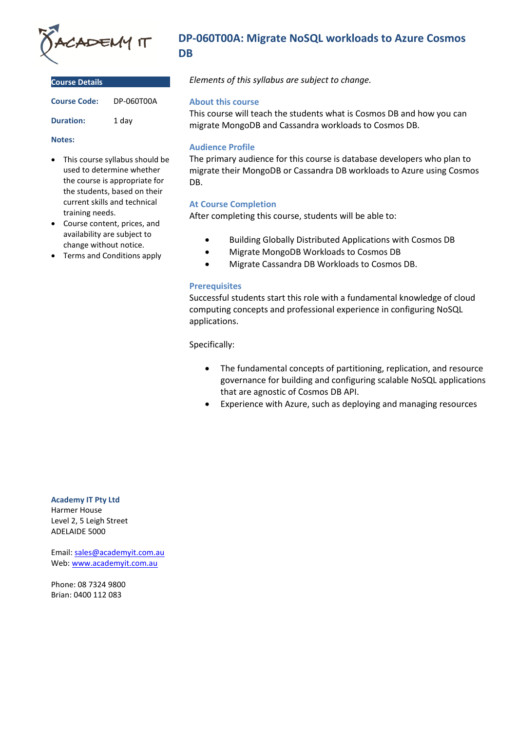

| <b>Course Details</b> |            |
|-----------------------|------------|
| <b>Course Code:</b>   | DP-060T00A |
| <b>Duration:</b>      | 1 day      |

#### **Notes:**

- This course syllabus should be used to determine whether the course is appropriate for the students, based on their current skills and technical training needs.
- Course content, prices, and availability are subject to change without notice.
- Terms and Conditions apply

# **DP-060T00A: Migrate NoSQL workloads to Azure Cosmos DB**

*Elements of this syllabus are subject to change.*

### **About this course**

This course will teach the students what is Cosmos DB and how you can migrate MongoDB and Cassandra workloads to Cosmos DB.

# **Audience Profile**

The primary audience for this course is database developers who plan to migrate their MongoDB or Cassandra DB workloads to Azure using Cosmos DB.

# **At Course Completion**

After completing this course, students will be able to:

- Building Globally Distributed Applications with Cosmos DB
- Migrate MongoDB Workloads to Cosmos DB
- Migrate Cassandra DB Workloads to Cosmos DB.

### **Prerequisites**

Successful students start this role with a fundamental knowledge of cloud computing concepts and professional experience in configuring NoSQL applications.

Specifically:

- The fundamental concepts of partitioning, replication, and resource governance for building and configuring scalable NoSQL applications that are agnostic of Cosmos DB API.
- Experience with Azure, such as deploying and managing resources

**Academy IT Pty Ltd** Harmer House Level 2, 5 Leigh Street ADELAIDE 5000

Email: [sales@academyit.com.au](mailto:sales@academyit.com.au) Web: [www.academyit.com.au](http://www.academyit.com.au/)

Phone: 08 7324 9800 Brian: 0400 112 083